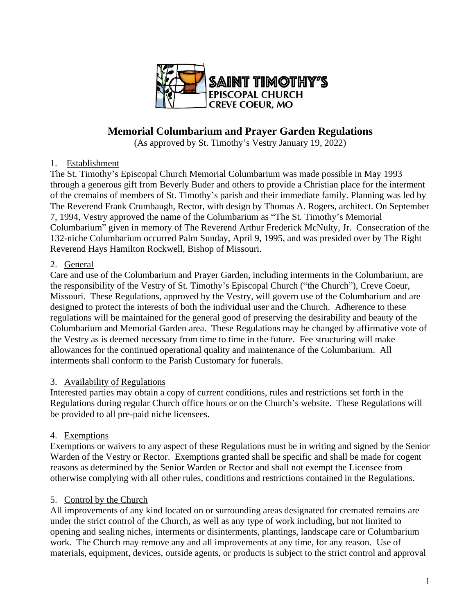

# **Memorial Columbarium and Prayer Garden Regulations**

(As approved by St. Timothy's Vestry January 19, 2022)

### 1. Establishment

The St. Timothy's Episcopal Church Memorial Columbarium was made possible in May 1993 through a generous gift from Beverly Buder and others to provide a Christian place for the interment of the cremains of members of St. Timothy's parish and their immediate family. Planning was led by The Reverend Frank Crumbaugh, Rector, with design by Thomas A. Rogers, architect. On September 7, 1994, Vestry approved the name of the Columbarium as "The St. Timothy's Memorial Columbarium" given in memory of The Reverend Arthur Frederick McNulty, Jr. Consecration of the 132-niche Columbarium occurred Palm Sunday, April 9, 1995, and was presided over by The Right Reverend Hays Hamilton Rockwell, Bishop of Missouri.

### 2. General

Care and use of the Columbarium and Prayer Garden, including interments in the Columbarium, are the responsibility of the Vestry of St. Timothy's Episcopal Church ("the Church"), Creve Coeur, Missouri. These Regulations, approved by the Vestry, will govern use of the Columbarium and are designed to protect the interests of both the individual user and the Church. Adherence to these regulations will be maintained for the general good of preserving the desirability and beauty of the Columbarium and Memorial Garden area. These Regulations may be changed by affirmative vote of the Vestry as is deemed necessary from time to time in the future. Fee structuring will make allowances for the continued operational quality and maintenance of the Columbarium. All interments shall conform to the Parish Customary for funerals.

### 3. Availability of Regulations

Interested parties may obtain a copy of current conditions, rules and restrictions set forth in the Regulations during regular Church office hours or on the Church's website. These Regulations will be provided to all pre-paid niche licensees.

# 4. Exemptions

Exemptions or waivers to any aspect of these Regulations must be in writing and signed by the Senior Warden of the Vestry or Rector. Exemptions granted shall be specific and shall be made for cogent reasons as determined by the Senior Warden or Rector and shall not exempt the Licensee from otherwise complying with all other rules, conditions and restrictions contained in the Regulations.

### 5. Control by the Church

All improvements of any kind located on or surrounding areas designated for cremated remains are under the strict control of the Church, as well as any type of work including, but not limited to opening and sealing niches, interments or disinterments, plantings, landscape care or Columbarium work. The Church may remove any and all improvements at any time, for any reason. Use of materials, equipment, devices, outside agents, or products is subject to the strict control and approval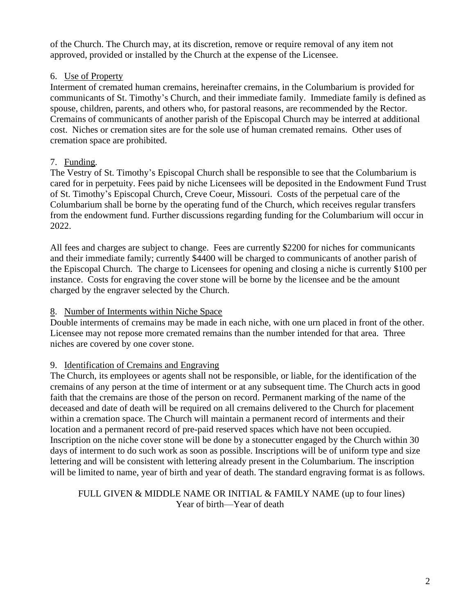of the Church. The Church may, at its discretion, remove or require removal of any item not approved, provided or installed by the Church at the expense of the Licensee.

### 6. Use of Property

Interment of cremated human cremains, hereinafter cremains, in the Columbarium is provided for communicants of St. Timothy's Church, and their immediate family. Immediate family is defined as spouse, children, parents, and others who, for pastoral reasons, are recommended by the Rector. Cremains of communicants of another parish of the Episcopal Church may be interred at additional cost. Niches or cremation sites are for the sole use of human cremated remains. Other uses of cremation space are prohibited.

# 7. Funding*.*

The Vestry of St. Timothy's Episcopal Church shall be responsible to see that the Columbarium is cared for in perpetuity. Fees paid by niche Licensees will be deposited in the Endowment Fund Trust of St. Timothy's Episcopal Church, Creve Coeur, Missouri. Costs of the perpetual care of the Columbarium shall be borne by the operating fund of the Church, which receives regular transfers from the endowment fund. Further discussions regarding funding for the Columbarium will occur in 2022.

All fees and charges are subject to change. Fees are currently \$2200 for niches for communicants and their immediate family; currently \$4400 will be charged to communicants of another parish of the Episcopal Church. The charge to Licensees for opening and closing a niche is currently \$100 per instance. Costs for engraving the cover stone will be borne by the licensee and be the amount charged by the engraver selected by the Church.

### 8. Number of Interments within Niche Space

Double interments of cremains may be made in each niche, with one urn placed in front of the other. Licensee may not repose more cremated remains than the number intended for that area. Three niches are covered by one cover stone.

# 9. Identification of Cremains and Engraving

The Church, its employees or agents shall not be responsible, or liable, for the identification of the cremains of any person at the time of interment or at any subsequent time. The Church acts in good faith that the cremains are those of the person on record. Permanent marking of the name of the deceased and date of death will be required on all cremains delivered to the Church for placement within a cremation space. The Church will maintain a permanent record of interments and their location and a permanent record of pre-paid reserved spaces which have not been occupied. Inscription on the niche cover stone will be done by a stonecutter engaged by the Church within 30 days of interment to do such work as soon as possible. Inscriptions will be of uniform type and size lettering and will be consistent with lettering already present in the Columbarium. The inscription will be limited to name, year of birth and year of death. The standard engraving format is as follows.

FULL GIVEN & MIDDLE NAME OR INITIAL & FAMILY NAME (up to four lines) Year of birth—Year of death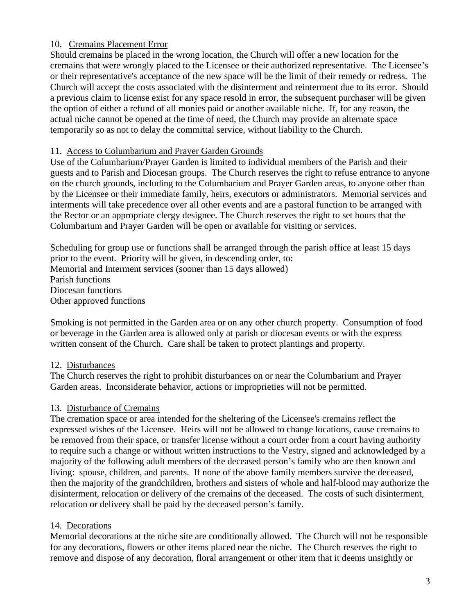### 10. Cremains Placement Error

Should cremains be placed in the wrong location, the Church will offer a new location for the cremains that were wrongly placed to the Licensee or their authorized representative. The Licensee's or their representative's acceptance of the new space will be the limit of their remedy or redress. The Church will accept the costs associated with the disinterment and reinterment due to its error. Should a previous claim to license exist for any space resold in error, the subsequent purchaser will be given the option of either a refund of all monies paid or another available niche. If, for any reason, the actual niche cannot be opened at the time of need, the Church may provide an alternate space temporarily so as not to delay the committal service, without liability to the Church.

### 11. Access to Columbarium and Prayer Garden Grounds

Use of the Columbarium/Prayer Garden is limited to individual members of the Parish and their guests and to Parish and Diocesan groups. The Church reserves the right to refuse entrance to anyone on the church grounds, including to the Columbarium and Prayer Garden areas, to anyone other than by the Licensee or their immediate family, heirs, executors or administrators. Memorial services and interments will take precedence over all other events and are a pastoral function to be arranged with the Rector or an appropriate clergy designee. The Church reserves the right to set hours that the Columbarium and Prayer Garden will be open or available for visiting or services.

Scheduling for group use or functions shall be arranged through the parish office at least 15 days prior to the event. Priority will be given, in descending order, to: Memorial and Interment services (sooner than 15 days allowed) Parish functions Diocesan functions Other approved functions

Smoking is not permitted in the Garden area or on any other church property. Consumption of food or beverage in the Garden area is allowed only at parish or diocesan events or with the express written consent of the Church. Care shall be taken to protect plantings and property.

### 12. Disturbances

The Church reserves the right to prohibit disturbances on or near the Columbarium and Prayer Garden areas. Inconsiderate behavior, actions or improprieties will not be permitted.

# 13. Disturbance of Cremains

The cremation space or area intended for the sheltering of the Licensee's cremains reflect the expressed wishes of the Licensee. Heirs will not be allowed to change locations, cause cremains to be removed from their space, or transfer license without a court order from a court having authority to require such a change or without written instructions to the Vestry, signed and acknowledged by a majority of the following adult members of the deceased person's family who are then known and living: spouse, children, and parents. If none of the above family members survive the deceased, then the majority of the grandchildren, brothers and sisters of whole and half-blood may authorize the disinterment, relocation or delivery of the cremains of the deceased. The costs of such disinterment, relocation or delivery shall be paid by the deceased person's family.

# 14. Decorations

Memorial decorations at the niche site are conditionally allowed. The Church will not be responsible for any decorations, flowers or other items placed near the niche. The Church reserves the right to remove and dispose of any decoration, floral arrangement or other item that it deems unsightly or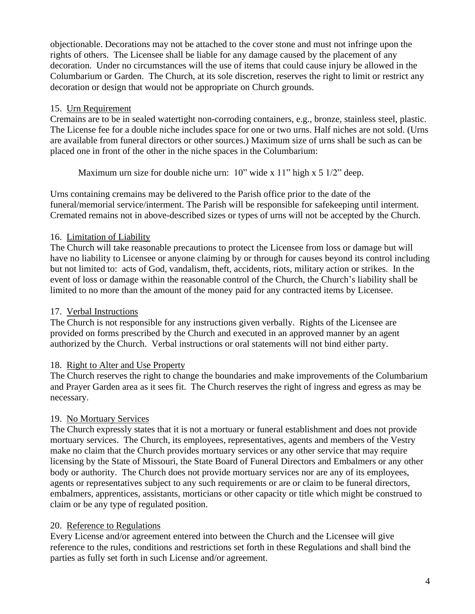objectionable. Decorations may not be attached to the cover stone and must not infringe upon the rights of others. The Licensee shall be liable for any damage caused by the placement of any decoration. Under no circumstances will the use of items that could cause injury be allowed in the Columbarium or Garden. The Church, at its sole discretion, reserves the right to limit or restrict any decoration or design that would not be appropriate on Church grounds.

### 15. Urn Requirement

Cremains are to be in sealed watertight non-corroding containers, e.g., bronze, stainless steel, plastic. The License fee for a double niche includes space for one or two urns. Half niches are not sold. (Urns are available from funeral directors or other sources.) Maximum size of urns shall be such as can be placed one in front of the other in the niche spaces in the Columbarium:

Maximum urn size for double niche urn: 10" wide x 11" high x 5 1/2" deep.

Urns containing cremains may be delivered to the Parish office prior to the date of the funeral/memorial service/interment. The Parish will be responsible for safekeeping until interment. Cremated remains not in above-described sizes or types of urns will not be accepted by the Church.

# 16. Limitation of Liability

The Church will take reasonable precautions to protect the Licensee from loss or damage but will have no liability to Licensee or anyone claiming by or through for causes beyond its control including but not limited to: acts of God, vandalism, theft, accidents, riots, military action or strikes. In the event of loss or damage within the reasonable control of the Church, the Church's liability shall be limited to no more than the amount of the money paid for any contracted items by Licensee.

### 17. Verbal Instructions

The Church is not responsible for any instructions given verbally. Rights of the Licensee are provided on forms prescribed by the Church and executed in an approved manner by an agent authorized by the Church. Verbal instructions or oral statements will not bind either party.

# 18. Right to Alter and Use Property

The Church reserves the right to change the boundaries and make improvements of the Columbarium and Prayer Garden area as it sees fit. The Church reserves the right of ingress and egress as may be necessary.

# 19. No Mortuary Services

The Church expressly states that it is not a mortuary or funeral establishment and does not provide mortuary services. The Church, its employees, representatives, agents and members of the Vestry make no claim that the Church provides mortuary services or any other service that may require licensing by the State of Missouri, the State Board of Funeral Directors and Embalmers or any other body or authority. The Church does not provide mortuary services nor are any of its employees, agents or representatives subject to any such requirements or are or claim to be funeral directors, embalmers, apprentices, assistants, morticians or other capacity or title which might be construed to claim or be any type of regulated position.

# 20. Reference to Regulations

Every License and/or agreement entered into between the Church and the Licensee will give reference to the rules, conditions and restrictions set forth in these Regulations and shall bind the parties as fully set forth in such License and/or agreement.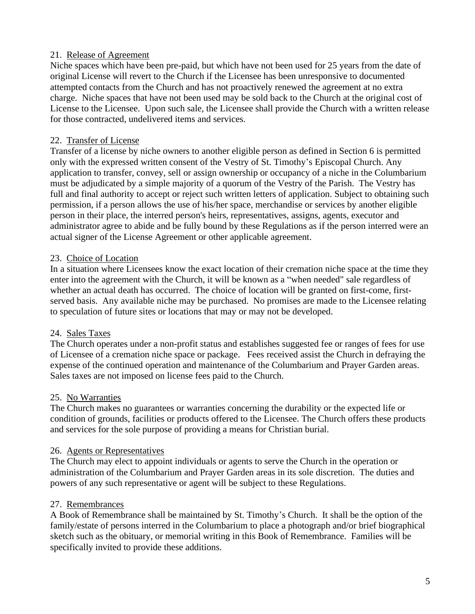### 21. Release of Agreement

Niche spaces which have been pre-paid, but which have not been used for 25 years from the date of original License will revert to the Church if the Licensee has been unresponsive to documented attempted contacts from the Church and has not proactively renewed the agreement at no extra charge. Niche spaces that have not been used may be sold back to the Church at the original cost of License to the Licensee. Upon such sale, the Licensee shall provide the Church with a written release for those contracted, undelivered items and services.

### 22. Transfer of License

Transfer of a license by niche owners to another eligible person as defined in Section 6 is permitted only with the expressed written consent of the Vestry of St. Timothy's Episcopal Church. Any application to transfer, convey, sell or assign ownership or occupancy of a niche in the Columbarium must be adjudicated by a simple majority of a quorum of the Vestry of the Parish. The Vestry has full and final authority to accept or reject such written letters of application. Subject to obtaining such permission, if a person allows the use of his/her space, merchandise or services by another eligible person in their place, the interred person's heirs, representatives, assigns, agents, executor and administrator agree to abide and be fully bound by these Regulations as if the person interred were an actual signer of the License Agreement or other applicable agreement.

### 23. Choice of Location

In a situation where Licensees know the exact location of their cremation niche space at the time they enter into the agreement with the Church, it will be known as a "when needed" sale regardless of whether an actual death has occurred. The choice of location will be granted on first-come, firstserved basis. Any available niche may be purchased. No promises are made to the Licensee relating to speculation of future sites or locations that may or may not be developed.

### 24. Sales Taxes

The Church operates under a non-profit status and establishes suggested fee or ranges of fees for use of Licensee of a cremation niche space or package. Fees received assist the Church in defraying the expense of the continued operation and maintenance of the Columbarium and Prayer Garden areas. Sales taxes are not imposed on license fees paid to the Church.

### 25. No Warranties

The Church makes no guarantees or warranties concerning the durability or the expected life or condition of grounds, facilities or products offered to the Licensee. The Church offers these products and services for the sole purpose of providing a means for Christian burial.

### 26. Agents or Representatives

The Church may elect to appoint individuals or agents to serve the Church in the operation or administration of the Columbarium and Prayer Garden areas in its sole discretion. The duties and powers of any such representative or agent will be subject to these Regulations.

### 27. Remembrances

A Book of Remembrance shall be maintained by St. Timothy's Church. It shall be the option of the family/estate of persons interred in the Columbarium to place a photograph and/or brief biographical sketch such as the obituary, or memorial writing in this Book of Remembrance. Families will be specifically invited to provide these additions.